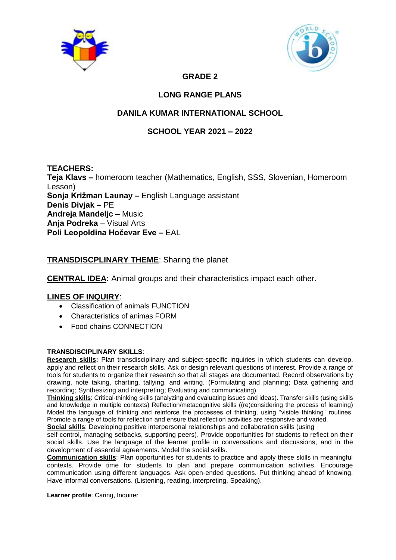



## **GRADE 2**

## **LONG RANGE PLANS**

## **DANILA KUMAR INTERNATIONAL SCHOOL**

## **SCHOOL YEAR 2021 – 2022**

#### **TEACHERS: Teja Klavs –** homeroom teacher (Mathematics, English, SSS, Slovenian, Homeroom Lesson) **Sonja Križman Launay –** English Language assistant **Denis Divjak –** PE **Andreja Mandeljc –** Music **Anja Podreka** – Visual Arts **Poli Leopoldina Hočevar Eve –** EAL

## **TRANSDISCPLINARY THEME**: Sharing the planet

**CENTRAL IDEA:** Animal groups and their characteristics impact each other.

#### **LINES OF INQUIRY**:

- Classification of animals FUNCTION
- Characteristics of animas FORM
- Food chains CONNECTION

#### **TRANSDISCIPLINARY SKILLS**:

**Research skills:** Plan transdisciplinary and subject-specific inquiries in which students can develop, apply and reflect on their research skills. Ask or design relevant questions of interest. Provide a range of tools for students to organize their research so that all stages are documented. Record observations by drawing, note taking, charting, tallying, and writing. (Formulating and planning; Data gathering and recording; Synthesizing and interpreting; Evaluating and communicating)

**Thinking skills**: Critical-thinking skills (analyzing and evaluating issues and ideas). Transfer skills (using skills and knowledge in multiple contexts) Reflection/metacognitive skills ((re)considering the process of learning) Model the language of thinking and reinforce the processes of thinking, using "visible thinking" routines. Promote a range of tools for reflection and ensure that reflection activities are responsive and varied.

**Social skills**: Developing positive interpersonal relationships and collaboration skills (using

self-control, managing setbacks, supporting peers). Provide opportunities for students to reflect on their social skills. Use the language of the learner profile in conversations and discussions, and in the development of essential agreements. Model the social skills.

**Communication skills**: Plan opportunities for students to practice and apply these skills in meaningful contexts. Provide time for students to plan and prepare communication activities. Encourage communication using different languages. Ask open-ended questions. Put thinking ahead of knowing. Have informal conversations. (Listening, reading, interpreting, Speaking).

**Learner profile**: Caring, Inquirer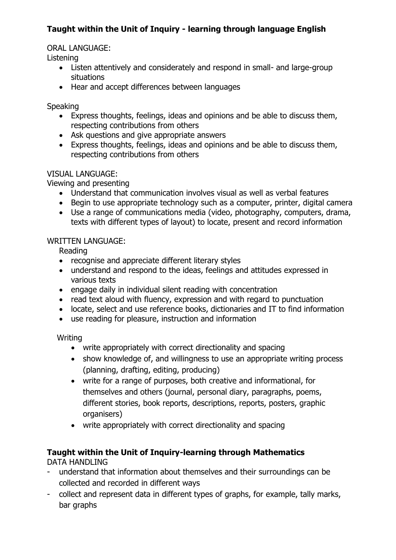# **Taught within the Unit of Inquiry - learning through language English**

## ORAL LANGUAGE:

Listening

- Listen attentively and considerately and respond in small- and large-group situations
- Hear and accept differences between languages

**Speaking** 

- Express thoughts, feelings, ideas and opinions and be able to discuss them, respecting contributions from others
- Ask questions and give appropriate answers
- Express thoughts, feelings, ideas and opinions and be able to discuss them, respecting contributions from others

## VISUAL LANGUAGE:

Viewing and presenting

- Understand that communication involves visual as well as verbal features
- Begin to use appropriate technology such as a computer, printer, digital camera
- Use a range of communications media (video, photography, computers, drama, texts with different types of layout) to locate, present and record information

## WRITTEN LANGUAGE:

Reading

- recognise and appreciate different literary styles
- understand and respond to the ideas, feelings and attitudes expressed in various texts
- engage daily in individual silent reading with concentration
- read text aloud with fluency, expression and with regard to punctuation
- locate, select and use reference books, dictionaries and IT to find information
- use reading for pleasure, instruction and information

Writing

- write appropriately with correct directionality and spacing
- show knowledge of, and willingness to use an appropriate writing process (planning, drafting, editing, producing)
- write for a range of purposes, both creative and informational, for themselves and others (journal, personal diary, paragraphs, poems, different stories, book reports, descriptions, reports, posters, graphic organisers)
- write appropriately with correct directionality and spacing

# **Taught within the Unit of Inquiry-learning through Mathematics**

DATA HANDLING

- understand that information about themselves and their surroundings can be collected and recorded in different ways
- collect and represent data in different types of graphs, for example, tally marks, bar graphs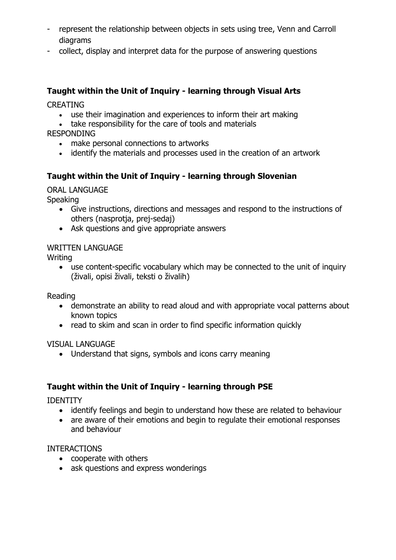- represent the relationship between objects in sets using tree, Venn and Carroll diagrams
- collect, display and interpret data for the purpose of answering questions

## **Taught within the Unit of Inquiry - learning through Visual Arts**

CREATING

- use their imagination and experiences to inform their art making
- take responsibility for the care of tools and materials
- RESPONDING
	- make personal connections to artworks
	- identify the materials and processes used in the creation of an artwork

## **Taught within the Unit of Inquiry - learning through Slovenian**

ORAL LANGUAGE

**Speaking** 

- Give instructions, directions and messages and respond to the instructions of others (nasprotja, prej-sedaj)
- Ask questions and give appropriate answers

## WRITTEN LANGUAGE

**Writing** 

 use content-specific vocabulary which may be connected to the unit of inquiry (živali, opisi živali, teksti o živalih)

Reading

- demonstrate an ability to read aloud and with appropriate vocal patterns about known topics
- read to skim and scan in order to find specific information quickly

## VISUAL LANGUAGE

• Understand that signs, symbols and icons carry meaning

## **Taught within the Unit of Inquiry - learning through PSE**

IDENTITY

- identify feelings and begin to understand how these are related to behaviour
- are aware of their emotions and begin to regulate their emotional responses and behaviour

## INTERACTIONS

- cooperate with others
- ask questions and express wonderings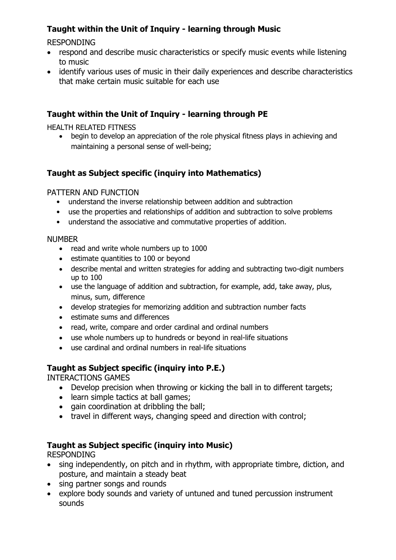# **Taught within the Unit of Inquiry - learning through Music**

RESPONDING

- respond and describe music characteristics or specify music events while listening to music
- identify various uses of music in their daily experiences and describe characteristics that make certain music suitable for each use

## **Taught within the Unit of Inquiry - learning through PE**

HEALTH RELATED FITNESS

• begin to develop an appreciation of the role physical fitness plays in achieving and maintaining a personal sense of well-being;

# **Taught as Subject specific (inquiry into Mathematics)**

## PATTERN AND FUNCTION

- understand the inverse relationship between addition and subtraction
- use the properties and relationships of addition and subtraction to solve problems
- understand the associative and commutative properties of addition.

## NUMBER

- read and write whole numbers up to 1000
- **e** estimate quantities to 100 or beyond
- describe mental and written strategies for adding and subtracting two-digit numbers up to 100
- use the language of addition and subtraction, for example, add, take away, plus, minus, sum, difference
- develop strategies for memorizing addition and subtraction number facts
- estimate sums and differences
- read, write, compare and order cardinal and ordinal numbers
- use whole numbers up to hundreds or beyond in real-life situations
- use cardinal and ordinal numbers in real-life situations

## **Taught as Subject specific (inquiry into P.E.)**

INTERACTIONS GAMES

- Develop precision when throwing or kicking the ball in to different targets;
- learn simple tactics at ball games:
- gain coordination at dribbling the ball;
- travel in different ways, changing speed and direction with control;

# **Taught as Subject specific (inquiry into Music)**

RESPONDING

- sing independently, on pitch and in rhythm, with appropriate timbre, diction, and posture, and maintain a steady beat
- sing partner songs and rounds
- explore body sounds and variety of untuned and tuned percussion instrument sounds